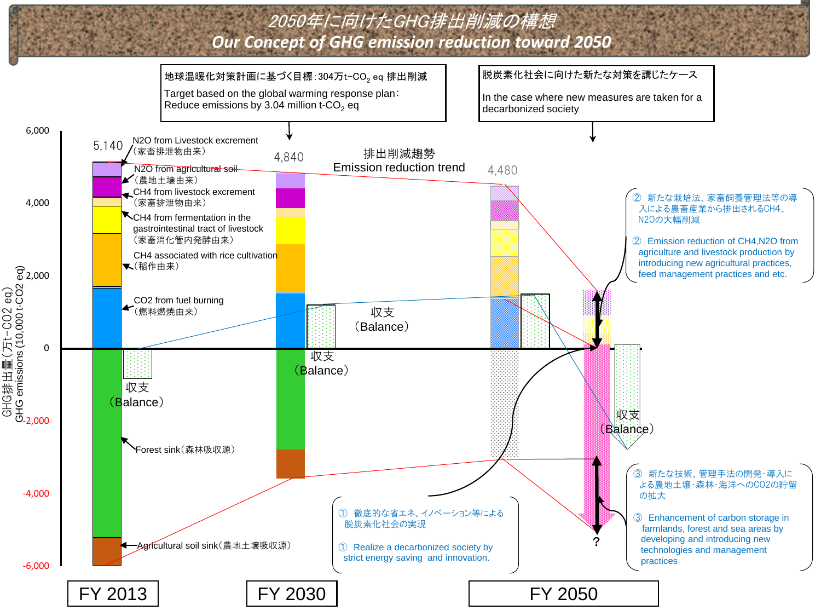